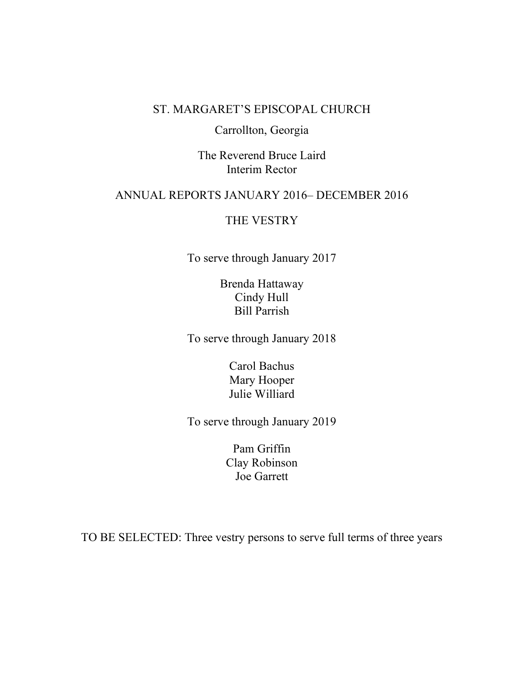# ST. MARGARET'S EPISCOPAL CHURCH

# Carrollton, Georgia

The Reverend Bruce Laird Interim Rector

# ANNUAL REPORTS JANUARY 2016– DECEMBER 2016

# THE VESTRY

To serve through January 2017

Brenda Hattaway Cindy Hull Bill Parrish

To serve through January 2018

Carol Bachus Mary Hooper Julie Williard

To serve through January 2019

Pam Griffin Clay Robinson Joe Garrett

TO BE SELECTED: Three vestry persons to serve full terms of three years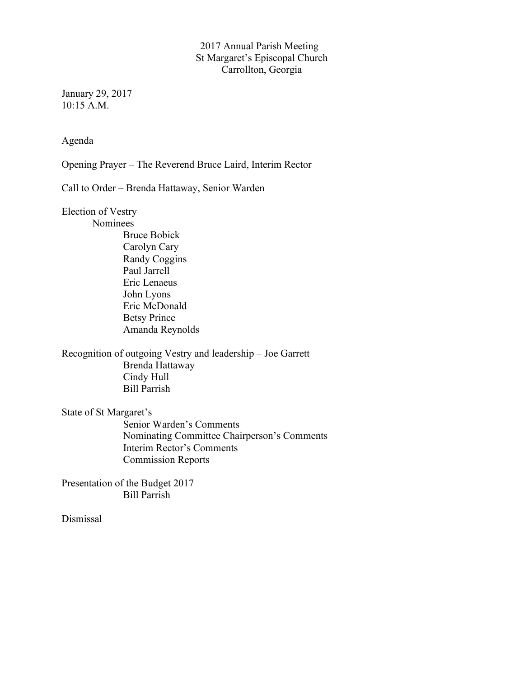# 2017 Annual Parish Meeting St Margaret's Episcopal Church Carrollton, Georgia

January 29, 2017 10:15 A.M.

Agenda

Opening Prayer – The Reverend Bruce Laird, Interim Rector

Call to Order – Brenda Hattaway, Senior Warden

Election of Vestry

Nominees

Bruce Bobick Carolyn Cary Randy Coggins Paul Jarrell Eric Lenaeus John Lyons Eric McDonald Betsy Prince Amanda Reynolds

Recognition of outgoing Vestry and leadership – Joe Garrett Brenda Hattaway Cindy Hull Bill Parrish

State of St Margaret's

Senior Warden's Comments Nominating Committee Chairperson's Comments Interim Rector's Comments Commission Reports

Presentation of the Budget 2017 Bill Parrish

Dismissal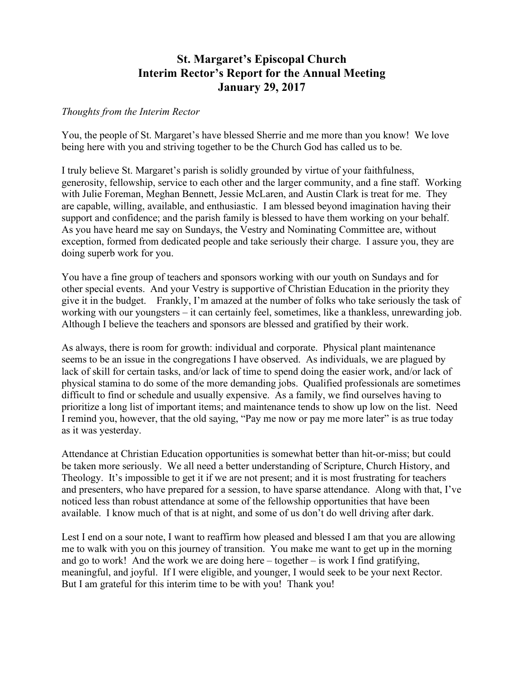# **St. Margaret's Episcopal Church Interim Rector's Report for the Annual Meeting January 29, 2017**

# *Thoughts from the Interim Rector*

You, the people of St. Margaret's have blessed Sherrie and me more than you know! We love being here with you and striving together to be the Church God has called us to be.

I truly believe St. Margaret's parish is solidly grounded by virtue of your faithfulness, generosity, fellowship, service to each other and the larger community, and a fine staff. Working with Julie Foreman, Meghan Bennett, Jessie McLaren, and Austin Clark is treat for me. They are capable, willing, available, and enthusiastic. I am blessed beyond imagination having their support and confidence; and the parish family is blessed to have them working on your behalf. As you have heard me say on Sundays, the Vestry and Nominating Committee are, without exception, formed from dedicated people and take seriously their charge. I assure you, they are doing superb work for you.

You have a fine group of teachers and sponsors working with our youth on Sundays and for other special events. And your Vestry is supportive of Christian Education in the priority they give it in the budget. Frankly, I'm amazed at the number of folks who take seriously the task of working with our youngsters – it can certainly feel, sometimes, like a thankless, unrewarding job. Although I believe the teachers and sponsors are blessed and gratified by their work.

As always, there is room for growth: individual and corporate. Physical plant maintenance seems to be an issue in the congregations I have observed. As individuals, we are plagued by lack of skill for certain tasks, and/or lack of time to spend doing the easier work, and/or lack of physical stamina to do some of the more demanding jobs. Qualified professionals are sometimes difficult to find or schedule and usually expensive. As a family, we find ourselves having to prioritize a long list of important items; and maintenance tends to show up low on the list. Need I remind you, however, that the old saying, "Pay me now or pay me more later" is as true today as it was yesterday.

Attendance at Christian Education opportunities is somewhat better than hit-or-miss; but could be taken more seriously. We all need a better understanding of Scripture, Church History, and Theology. It's impossible to get it if we are not present; and it is most frustrating for teachers and presenters, who have prepared for a session, to have sparse attendance. Along with that, I've noticed less than robust attendance at some of the fellowship opportunities that have been available. I know much of that is at night, and some of us don't do well driving after dark.

Lest I end on a sour note, I want to reaffirm how pleased and blessed I am that you are allowing me to walk with you on this journey of transition. You make me want to get up in the morning and go to work! And the work we are doing here – together – is work I find gratifying, meaningful, and joyful. If I were eligible, and younger, I would seek to be your next Rector. But I am grateful for this interim time to be with you! Thank you!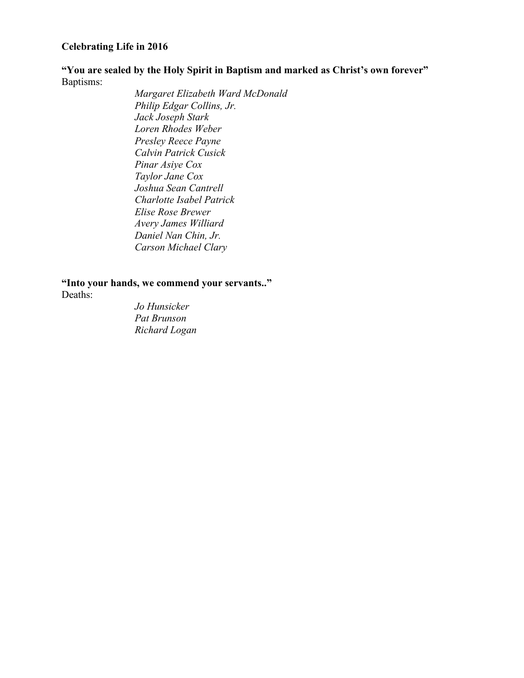# **Celebrating Life in 2016**

**"You are sealed by the Holy Spirit in Baptism and marked as Christ's own forever"** Baptisms:

*Margaret Elizabeth Ward McDonald Philip Edgar Collins, Jr. Jack Joseph Stark Loren Rhodes Weber Presley Reece Payne Calvin Patrick Cusick Pinar Asiye Cox Taylor Jane Cox Joshua Sean Cantrell Charlotte Isabel Patrick Elise Rose Brewer Avery James Williard Daniel Nan Chin, Jr. Carson Michael Clary*

**"Into your hands, we commend your servants.."**

Deaths:

*Jo Hunsicker Pat Brunson Richard Logan*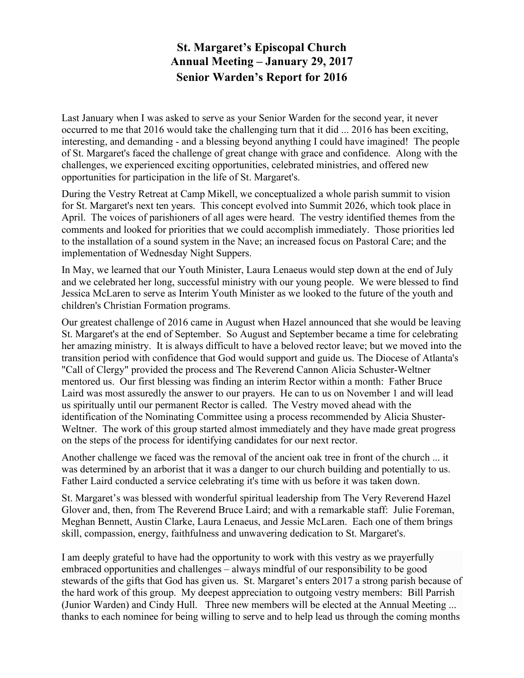# **St. Margaret's Episcopal Church Annual Meeting – January 29, 2017 Senior Warden's Report for 2016**

Last January when I was asked to serve as your Senior Warden for the second year, it never occurred to me that 2016 would take the challenging turn that it did ... 2016 has been exciting, interesting, and demanding - and a blessing beyond anything I could have imagined! The people of St. Margaret's faced the challenge of great change with grace and confidence. Along with the challenges, we experienced exciting opportunities, celebrated ministries, and offered new opportunities for participation in the life of St. Margaret's.

During the Vestry Retreat at Camp Mikell, we conceptualized a whole parish summit to vision for St. Margaret's next ten years. This concept evolved into Summit 2026, which took place in April. The voices of parishioners of all ages were heard. The vestry identified themes from the comments and looked for priorities that we could accomplish immediately. Those priorities led to the installation of a sound system in the Nave; an increased focus on Pastoral Care; and the implementation of Wednesday Night Suppers.

In May, we learned that our Youth Minister, Laura Lenaeus would step down at the end of July and we celebrated her long, successful ministry with our young people. We were blessed to find Jessica McLaren to serve as Interim Youth Minister as we looked to the future of the youth and children's Christian Formation programs.

Our greatest challenge of 2016 came in August when Hazel announced that she would be leaving St. Margaret's at the end of September. So August and September became a time for celebrating her amazing ministry. It is always difficult to have a beloved rector leave; but we moved into the transition period with confidence that God would support and guide us. The Diocese of Atlanta's "Call of Clergy" provided the process and The Reverend Cannon Alicia Schuster-Weltner mentored us. Our first blessing was finding an interim Rector within a month: Father Bruce Laird was most assuredly the answer to our prayers. He can to us on November 1 and will lead us spiritually until our permanent Rector is called. The Vestry moved ahead with the identification of the Nominating Committee using a process recommended by Alicia Shuster-Weltner. The work of this group started almost immediately and they have made great progress on the steps of the process for identifying candidates for our next rector.

Another challenge we faced was the removal of the ancient oak tree in front of the church ... it was determined by an arborist that it was a danger to our church building and potentially to us. Father Laird conducted a service celebrating it's time with us before it was taken down.

St. Margaret's was blessed with wonderful spiritual leadership from The Very Reverend Hazel Glover and, then, from The Reverend Bruce Laird; and with a remarkable staff: Julie Foreman, Meghan Bennett, Austin Clarke, Laura Lenaeus, and Jessie McLaren. Each one of them brings skill, compassion, energy, faithfulness and unwavering dedication to St. Margaret's.

I am deeply grateful to have had the opportunity to work with this vestry as we prayerfully embraced opportunities and challenges – always mindful of our responsibility to be good stewards of the gifts that God has given us. St. Margaret's enters 2017 a strong parish because of the hard work of this group. My deepest appreciation to outgoing vestry members: Bill Parrish (Junior Warden) and Cindy Hull. Three new members will be elected at the Annual Meeting ... thanks to each nominee for being willing to serve and to help lead us through the coming months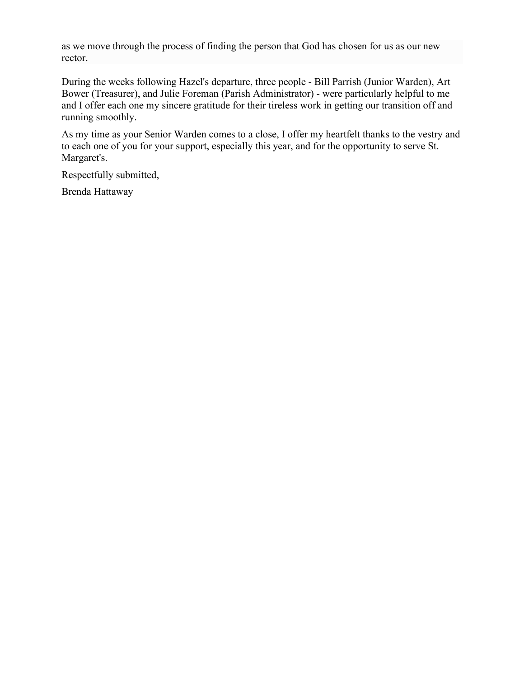as we move through the process of finding the person that God has chosen for us as our new rector.

During the weeks following Hazel's departure, three people - Bill Parrish (Junior Warden), Art Bower (Treasurer), and Julie Foreman (Parish Administrator) - were particularly helpful to me and I offer each one my sincere gratitude for their tireless work in getting our transition off and running smoothly.

As my time as your Senior Warden comes to a close, I offer my heartfelt thanks to the vestry and to each one of you for your support, especially this year, and for the opportunity to serve St. Margaret's.

Respectfully submitted,

Brenda Hattaway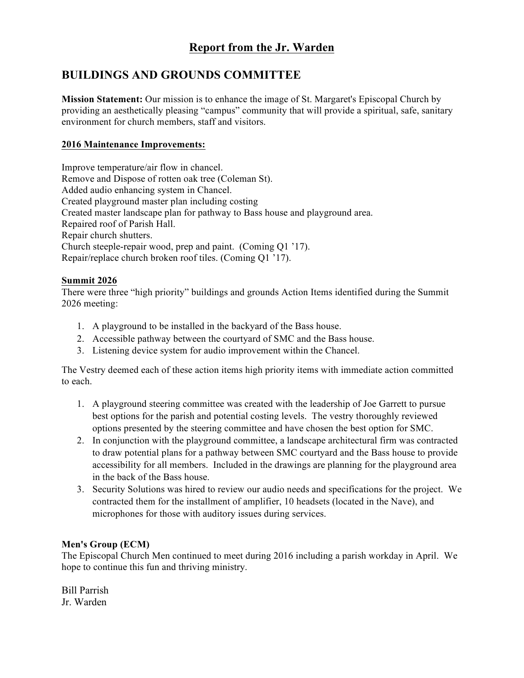# **Report from the Jr. Warden**

# **BUILDINGS AND GROUNDS COMMITTEE**

**Mission Statement:** Our mission is to enhance the image of St. Margaret's Episcopal Church by providing an aesthetically pleasing "campus" community that will provide a spiritual, safe, sanitary environment for church members, staff and visitors.

# **2016 Maintenance Improvements:**

Improve temperature/air flow in chancel. Remove and Dispose of rotten oak tree (Coleman St). Added audio enhancing system in Chancel. Created playground master plan including costing Created master landscape plan for pathway to Bass house and playground area. Repaired roof of Parish Hall. Repair church shutters. Church steeple-repair wood, prep and paint. (Coming Q1 '17). Repair/replace church broken roof tiles. (Coming Q1 '17).

# **Summit 2026**

There were three "high priority" buildings and grounds Action Items identified during the Summit 2026 meeting:

- 1. A playground to be installed in the backyard of the Bass house.
- 2. Accessible pathway between the courtyard of SMC and the Bass house.
- 3. Listening device system for audio improvement within the Chancel.

The Vestry deemed each of these action items high priority items with immediate action committed to each.

- 1. A playground steering committee was created with the leadership of Joe Garrett to pursue best options for the parish and potential costing levels. The vestry thoroughly reviewed options presented by the steering committee and have chosen the best option for SMC.
- 2. In conjunction with the playground committee, a landscape architectural firm was contracted to draw potential plans for a pathway between SMC courtyard and the Bass house to provide accessibility for all members. Included in the drawings are planning for the playground area in the back of the Bass house.
- 3. Security Solutions was hired to review our audio needs and specifications for the project. We contracted them for the installment of amplifier, 10 headsets (located in the Nave), and microphones for those with auditory issues during services.

# **Men's Group (ECM)**

The Episcopal Church Men continued to meet during 2016 including a parish workday in April. We hope to continue this fun and thriving ministry.

Bill Parrish Jr. Warden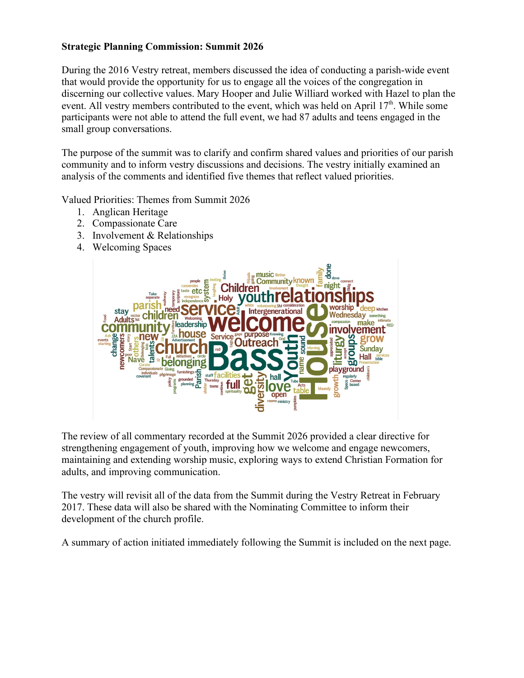# **Strategic Planning Commission: Summit 2026**

During the 2016 Vestry retreat, members discussed the idea of conducting a parish-wide event that would provide the opportunity for us to engage all the voices of the congregation in discerning our collective values. Mary Hooper and Julie Williard worked with Hazel to plan the event. All vestry members contributed to the event, which was held on April  $17<sup>th</sup>$ . While some participants were not able to attend the full event, we had 87 adults and teens engaged in the small group conversations.

The purpose of the summit was to clarify and confirm shared values and priorities of our parish community and to inform vestry discussions and decisions. The vestry initially examined an analysis of the comments and identified five themes that reflect valued priorities.

Valued Priorities: Themes from Summit 2026

- 1. Anglican Heritage
- 2. Compassionate Care
- 3. Involvement & Relationships
- 4. Welcoming Spaces



The review of all commentary recorded at the Summit 2026 provided a clear directive for strengthening engagement of youth, improving how we welcome and engage newcomers, maintaining and extending worship music, exploring ways to extend Christian Formation for adults, and improving communication.

The vestry will revisit all of the data from the Summit during the Vestry Retreat in February 2017. These data will also be shared with the Nominating Committee to inform their development of the church profile.

A summary of action initiated immediately following the Summit is included on the next page.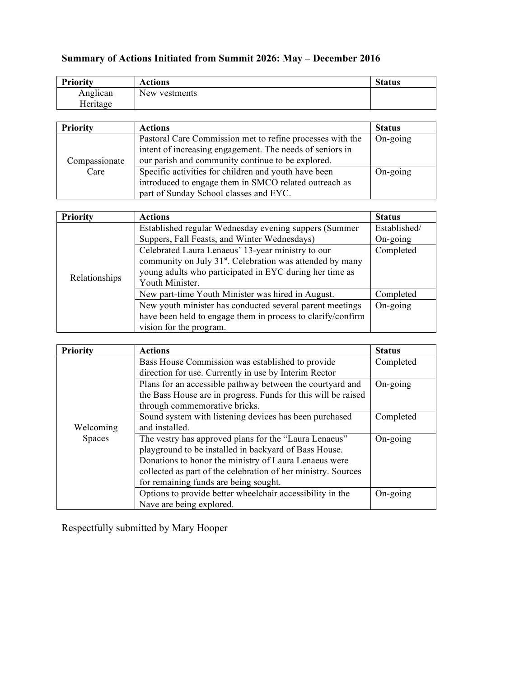| <b>Priority</b> | Actions       | <b>Status</b> |
|-----------------|---------------|---------------|
| Anglican        | New vestments |               |
| Heritage        |               |               |

# **Summary of Actions Initiated from Summit 2026: May – December 2016**

| <b>Priority</b> | <b>Actions</b>                                            | <b>Status</b> |
|-----------------|-----------------------------------------------------------|---------------|
|                 | Pastoral Care Commission met to refine processes with the | On-going      |
|                 | intent of increasing engagement. The needs of seniors in  |               |
| Compassionate   | our parish and community continue to be explored.         |               |
| Care            | Specific activities for children and youth have been      | On-going      |
|                 | introduced to engage them in SMCO related outreach as     |               |
|                 | part of Sunday School classes and EYC.                    |               |

| <b>Priority</b> | <b>Actions</b>                                                        | <b>Status</b>     |
|-----------------|-----------------------------------------------------------------------|-------------------|
|                 | Established regular Wednesday evening suppers (Summer                 | Established/      |
| Relationships   | Suppers, Fall Feasts, and Winter Wednesdays)                          | $On-going$        |
|                 | Celebrated Laura Lenaeus' 13-year ministry to our                     | Completed         |
|                 | community on July 31 <sup>st</sup> . Celebration was attended by many |                   |
|                 | young adults who participated in EYC during her time as               |                   |
|                 | Youth Minister.                                                       |                   |
|                 | New part-time Youth Minister was hired in August.                     | Completed         |
|                 | New youth minister has conducted several parent meetings              | $On\text{-going}$ |
|                 | have been held to engage them in process to clarify/confirm           |                   |
|                 | vision for the program.                                               |                   |

| <b>Priority</b> | <b>Actions</b>                                                | <b>Status</b> |
|-----------------|---------------------------------------------------------------|---------------|
|                 | Bass House Commission was established to provide              | Completed     |
|                 | direction for use. Currently in use by Interim Rector         |               |
|                 | Plans for an accessible pathway between the courtyard and     | On-going      |
|                 | the Bass House are in progress. Funds for this will be raised |               |
|                 | through commemorative bricks.                                 |               |
|                 | Sound system with listening devices has been purchased        | Completed     |
| Welcoming       | and installed.                                                |               |
| <b>Spaces</b>   | The vestry has approved plans for the "Laura Lenaeus"         | On-going      |
|                 | playground to be installed in backyard of Bass House.         |               |
|                 | Donations to honor the ministry of Laura Lenaeus were         |               |
|                 | collected as part of the celebration of her ministry. Sources |               |
|                 | for remaining funds are being sought.                         |               |
|                 | Options to provide better wheelchair accessibility in the     | On-going      |
|                 | Nave are being explored.                                      |               |

Respectfully submitted by Mary Hooper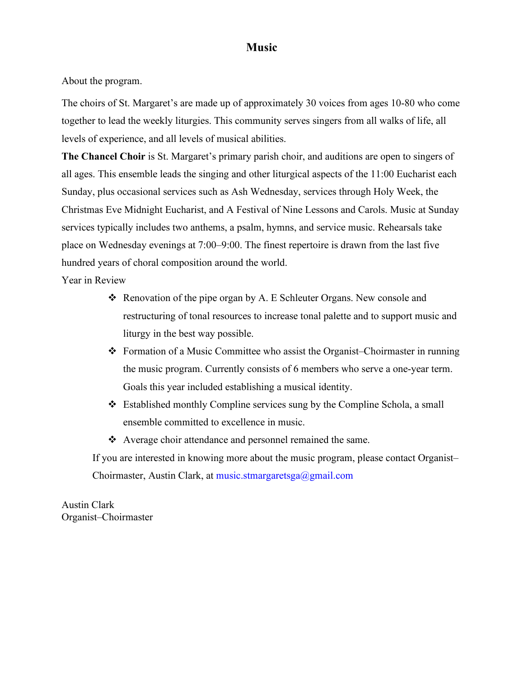# **Music**

About the program.

The choirs of St. Margaret's are made up of approximately 30 voices from ages 10-80 who come together to lead the weekly liturgies. This community serves singers from all walks of life, all levels of experience, and all levels of musical abilities.

**The Chancel Choir** is St. Margaret's primary parish choir, and auditions are open to singers of all ages. This ensemble leads the singing and other liturgical aspects of the 11:00 Eucharist each Sunday, plus occasional services such as Ash Wednesday, services through Holy Week, the Christmas Eve Midnight Eucharist, and A Festival of Nine Lessons and Carols. Music at Sunday services typically includes two anthems, a psalm, hymns, and service music. Rehearsals take place on Wednesday evenings at 7:00–9:00. The finest repertoire is drawn from the last five hundred years of choral composition around the world.

Year in Review

- $\triangleleft$  Renovation of the pipe organ by A. E Schleuter Organs. New console and restructuring of tonal resources to increase tonal palette and to support music and liturgy in the best way possible.
- v Formation of a Music Committee who assist the Organist–Choirmaster in running the music program. Currently consists of 6 members who serve a one-year term. Goals this year included establishing a musical identity.
- v Established monthly Compline services sung by the Compline Schola, a small ensemble committed to excellence in music.
- $\triangle$  Average choir attendance and personnel remained the same.

If you are interested in knowing more about the music program, please contact Organist– Choirmaster, Austin Clark, at music.stmargaretsga@gmail.com

Austin Clark Organist–Choirmaster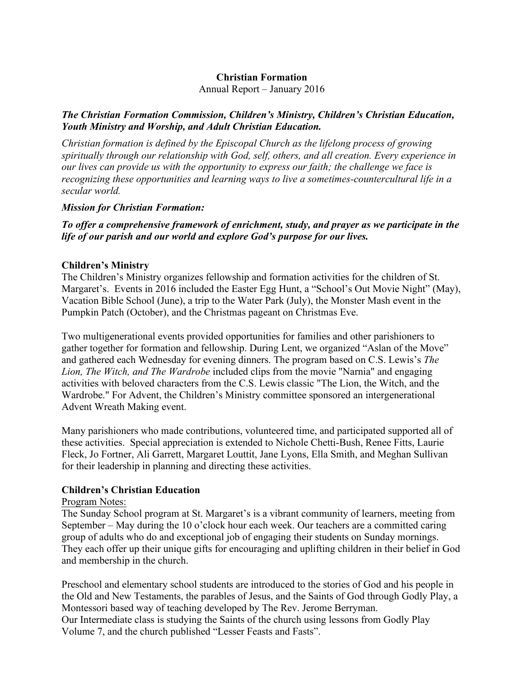# **Christian Formation**

Annual Report – January 2016

# *The Christian Formation Commission, Children's Ministry, Children's Christian Education, Youth Ministry and Worship, and Adult Christian Education.*

*Christian formation is defined by the Episcopal Church as the lifelong process of growing spiritually through our relationship with God, self, others, and all creation. Every experience in our lives can provide us with the opportunity to express our faith; the challenge we face is recognizing these opportunities and learning ways to live a sometimes-countercultural life in a secular world.* 

# *Mission for Christian Formation:*

# *To offer a comprehensive framework of enrichment, study, and prayer as we participate in the life of our parish and our world and explore God's purpose for our lives.*

# **Children's Ministry**

The Children's Ministry organizes fellowship and formation activities for the children of St. Margaret's. Events in 2016 included the Easter Egg Hunt, a "School's Out Movie Night" (May), Vacation Bible School (June), a trip to the Water Park (July), the Monster Mash event in the Pumpkin Patch (October), and the Christmas pageant on Christmas Eve.

Two multigenerational events provided opportunities for families and other parishioners to gather together for formation and fellowship. During Lent, we organized "Aslan of the Move" and gathered each Wednesday for evening dinners. The program based on C.S. Lewis's *The Lion, The Witch, and The Wardrobe* included clips from the movie "Narnia" and engaging activities with beloved characters from the C.S. Lewis classic "The Lion, the Witch, and the Wardrobe." For Advent, the Children's Ministry committee sponsored an intergenerational Advent Wreath Making event.

Many parishioners who made contributions, volunteered time, and participated supported all of these activities. Special appreciation is extended to Nichole Chetti-Bush, Renee Fitts, Laurie Fleck, Jo Fortner, Ali Garrett, Margaret Louttit, Jane Lyons, Ella Smith, and Meghan Sullivan for their leadership in planning and directing these activities.

# **Children's Christian Education**

# Program Notes:

The Sunday School program at St. Margaret's is a vibrant community of learners, meeting from September – May during the 10 o'clock hour each week. Our teachers are a committed caring group of adults who do and exceptional job of engaging their students on Sunday mornings. They each offer up their unique gifts for encouraging and uplifting children in their belief in God and membership in the church.

Preschool and elementary school students are introduced to the stories of God and his people in the Old and New Testaments, the parables of Jesus, and the Saints of God through Godly Play, a Montessori based way of teaching developed by The Rev. Jerome Berryman. Our Intermediate class is studying the Saints of the church using lessons from Godly Play Volume 7, and the church published "Lesser Feasts and Fasts".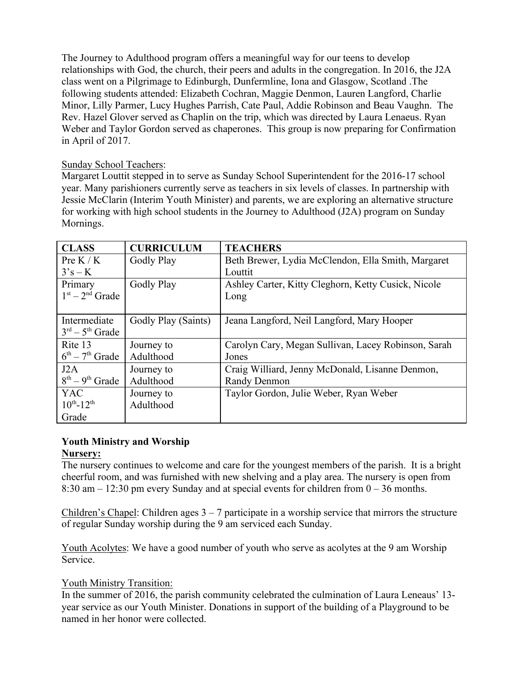The Journey to Adulthood program offers a meaningful way for our teens to develop relationships with God, the church, their peers and adults in the congregation. In 2016, the J2A class went on a Pilgrimage to Edinburgh, Dunfermline, Iona and Glasgow, Scotland .The following students attended: Elizabeth Cochran, Maggie Denmon, Lauren Langford, Charlie Minor, Lilly Parmer, Lucy Hughes Parrish, Cate Paul, Addie Robinson and Beau Vaughn. The Rev. Hazel Glover served as Chaplin on the trip, which was directed by Laura Lenaeus. Ryan Weber and Taylor Gordon served as chaperones. This group is now preparing for Confirmation in April of 2017.

# Sunday School Teachers:

Margaret Louttit stepped in to serve as Sunday School Superintendent for the 2016-17 school year. Many parishioners currently serve as teachers in six levels of classes. In partnership with Jessie McClarin (Interim Youth Minister) and parents, we are exploring an alternative structure for working with high school students in the Journey to Adulthood (J2A) program on Sunday Mornings.

| <b>CLASS</b>        | <b>CURRICULUM</b>   | <b>TEACHERS</b>                                     |
|---------------------|---------------------|-----------------------------------------------------|
|                     |                     |                                                     |
| Pre K / K           | Godly Play          | Beth Brewer, Lydia McClendon, Ella Smith, Margaret  |
| $3's - K$           |                     | Louttit                                             |
| Primary             | Godly Play          | Ashley Carter, Kitty Cleghorn, Ketty Cusick, Nicole |
| $1st - 2nd$ Grade   |                     | Long                                                |
|                     |                     |                                                     |
| Intermediate        | Godly Play (Saints) | Jeana Langford, Neil Langford, Mary Hooper          |
| $3rd - 5th$ Grade   |                     |                                                     |
| Rite 13             | Journey to          | Carolyn Cary, Megan Sullivan, Lacey Robinson, Sarah |
| $6th - 7th$ Grade   | Adulthood           | Jones                                               |
| J2A                 | Journey to          | Craig Williard, Jenny McDonald, Lisanne Denmon,     |
| $8th - 9th$ Grade   | Adulthood           | Randy Denmon                                        |
| <b>YAC</b>          | Journey to          | Taylor Gordon, Julie Weber, Ryan Weber              |
| $10^{th} - 12^{th}$ | Adulthood           |                                                     |
| Grade               |                     |                                                     |

# **Youth Ministry and Worship**

# **Nursery:**

The nursery continues to welcome and care for the youngest members of the parish. It is a bright cheerful room, and was furnished with new shelving and a play area. The nursery is open from 8:30 am – 12:30 pm every Sunday and at special events for children from 0 – 36 months.

Children's Chapel: Children ages  $3 - 7$  participate in a worship service that mirrors the structure of regular Sunday worship during the 9 am serviced each Sunday.

Youth Acolytes: We have a good number of youth who serve as acolytes at the 9 am Worship Service.

# Youth Ministry Transition:

In the summer of 2016, the parish community celebrated the culmination of Laura Leneaus' 13 year service as our Youth Minister. Donations in support of the building of a Playground to be named in her honor were collected.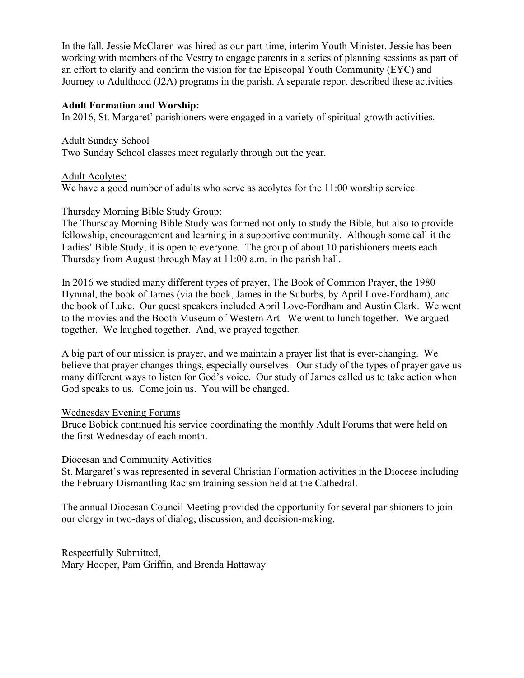In the fall, Jessie McClaren was hired as our part-time, interim Youth Minister. Jessie has been working with members of the Vestry to engage parents in a series of planning sessions as part of an effort to clarify and confirm the vision for the Episcopal Youth Community (EYC) and Journey to Adulthood (J2A) programs in the parish. A separate report described these activities.

# **Adult Formation and Worship:**

In 2016, St. Margaret' parishioners were engaged in a variety of spiritual growth activities.

Adult Sunday School Two Sunday School classes meet regularly through out the year.

Adult Acolytes:

We have a good number of adults who serve as acolytes for the 11:00 worship service.

# Thursday Morning Bible Study Group:

The Thursday Morning Bible Study was formed not only to study the Bible, but also to provide fellowship, encouragement and learning in a supportive community. Although some call it the Ladies' Bible Study, it is open to everyone. The group of about 10 parishioners meets each Thursday from August through May at 11:00 a.m. in the parish hall.

In 2016 we studied many different types of prayer, The Book of Common Prayer, the 1980 Hymnal, the book of James (via the book, James in the Suburbs, by April Love-Fordham), and the book of Luke. Our guest speakers included April Love-Fordham and Austin Clark. We went to the movies and the Booth Museum of Western Art. We went to lunch together. We argued together. We laughed together. And, we prayed together.

A big part of our mission is prayer, and we maintain a prayer list that is ever-changing. We believe that prayer changes things, especially ourselves. Our study of the types of prayer gave us many different ways to listen for God's voice. Our study of James called us to take action when God speaks to us. Come join us. You will be changed.

# Wednesday Evening Forums

Bruce Bobick continued his service coordinating the monthly Adult Forums that were held on the first Wednesday of each month.

# Diocesan and Community Activities

St. Margaret's was represented in several Christian Formation activities in the Diocese including the February Dismantling Racism training session held at the Cathedral.

The annual Diocesan Council Meeting provided the opportunity for several parishioners to join our clergy in two-days of dialog, discussion, and decision-making.

Respectfully Submitted, Mary Hooper, Pam Griffin, and Brenda Hattaway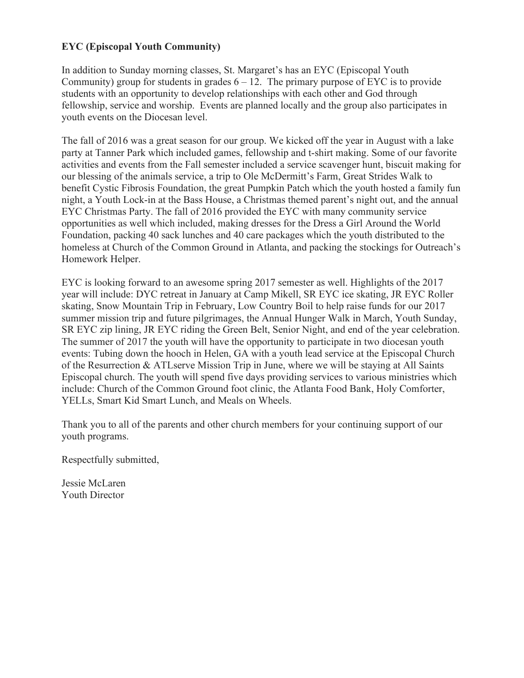# **EYC (Episcopal Youth Community)**

In addition to Sunday morning classes, St. Margaret's has an EYC (Episcopal Youth Community) group for students in grades  $6 - 12$ . The primary purpose of EYC is to provide students with an opportunity to develop relationships with each other and God through fellowship, service and worship. Events are planned locally and the group also participates in youth events on the Diocesan level.

The fall of 2016 was a great season for our group. We kicked off the year in August with a lake party at Tanner Park which included games, fellowship and t-shirt making. Some of our favorite activities and events from the Fall semester included a service scavenger hunt, biscuit making for our blessing of the animals service, a trip to Ole McDermitt's Farm, Great Strides Walk to benefit Cystic Fibrosis Foundation, the great Pumpkin Patch which the youth hosted a family fun night, a Youth Lock-in at the Bass House, a Christmas themed parent's night out, and the annual EYC Christmas Party. The fall of 2016 provided the EYC with many community service opportunities as well which included, making dresses for the Dress a Girl Around the World Foundation, packing 40 sack lunches and 40 care packages which the youth distributed to the homeless at Church of the Common Ground in Atlanta, and packing the stockings for Outreach's Homework Helper.

EYC is looking forward to an awesome spring 2017 semester as well. Highlights of the 2017 year will include: DYC retreat in January at Camp Mikell, SR EYC ice skating, JR EYC Roller skating, Snow Mountain Trip in February, Low Country Boil to help raise funds for our 2017 summer mission trip and future pilgrimages, the Annual Hunger Walk in March, Youth Sunday, SR EYC zip lining, JR EYC riding the Green Belt, Senior Night, and end of the year celebration. The summer of 2017 the youth will have the opportunity to participate in two diocesan youth events: Tubing down the hooch in Helen, GA with a youth lead service at the Episcopal Church of the Resurrection & ATLserve Mission Trip in June, where we will be staying at All Saints Episcopal church. The youth will spend five days providing services to various ministries which include: Church of the Common Ground foot clinic, the Atlanta Food Bank, Holy Comforter, YELLs, Smart Kid Smart Lunch, and Meals on Wheels.

Thank you to all of the parents and other church members for your continuing support of our youth programs.

Respectfully submitted,

Jessie McLaren Youth Director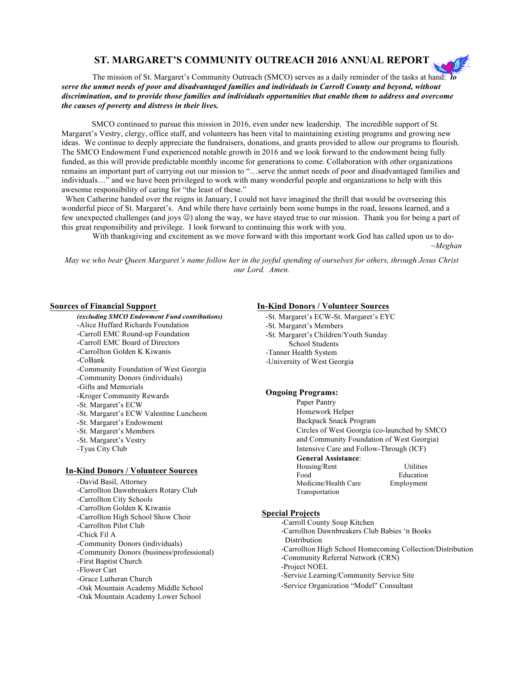## **ST. MARGARET'S COMMUNITY OUTREACH 2016 ANNUAL REPORT**

The mission of St. Margaret's Community Outreach (SMCO) serves as a daily reminder of the tasks at hand: *to serve the unmet needs of poor and disadvantaged families and individuals in Carroll County and beyond, without discrimination, and to provide those families and individuals opportunities that enable them to address and overcome the causes of poverty and distress in their lives.*

 SMCO continued to pursue this mission in 2016, even under new leadership. The incredible support of St. Margaret's Vestry, clergy, office staff, and volunteers has been vital to maintaining existing programs and growing new ideas. We continue to deeply appreciate the fundraisers, donations, and grants provided to allow our programs to flourish. The SMCO Endowment Fund experienced notable growth in 2016 and we look forward to the endowment being fully funded, as this will provide predictable monthly income for generations to come. Collaboration with other organizations remains an important part of carrying out our mission to "…serve the unmet needs of poor and disadvantaged families and individuals…" and we have been privileged to work with many wonderful people and organizations to help with this awesome responsibility of caring for "the least of these."

When Catherine handed over the reigns in January, I could not have imagined the thrill that would be overseeing this wonderful piece of St. Margaret's. And while there have certainly been some bumps in the road, lessons learned, and a few unexpected challenges (and joys  $\circledcirc$ ) along the way, we have stayed true to our mission. Thank you for being a part of this great responsibility and privilege. I look forward to continuing this work with you.

With thanksgiving and excitement as we move forward with this important work God has called upon us to do- ~*Meghan*

*May we who bear Queen Margaret's name follow her in the joyful spending of ourselves for others, through Jesus Christ our Lord. Amen.*

*(excluding SMCO Endowment Fund contributions)* -Alice Huffard Richards Foundation -Carroll EMC Round-up Foundation -Carroll EMC Board of Directors -Carrollton Golden K Kiwanis -CoBank -Community Foundation of West Georgia -Community Donors (individuals) -Gifts and Memorials -Kroger Community Rewards -St. Margaret's ECW -St. Margaret's ECW Valentine Luncheon -St. Margaret's Endowment -St. Margaret's Members -St. Margaret's Vestry -Tyus City Club

#### **In-Kind Donors / Volunteer Sources**

-David Basil, Attorney -Carrollton Dawnbreakers Rotary Club -Carrollton City Schools -Carrollton Golden K Kiwanis -Carrollton High School Show Choir -Carrollton Pilot Club -Chick Fil A -Community Donors (individuals) -Community Donors (business/professional) -First Baptist Church -Flower Cart -Grace Lutheran Church -Oak Mountain Academy Middle School -Oak Mountain Academy Lower School

#### **Sources of Financial Support In-Kind Donors / Volunteer Sources**

- -St. Margaret's ECW-St. Margaret's EYC
- -St. Margaret's Members
- -St. Margaret's Children/Youth Sunday
- School Students
- -Tanner Health System
- -University of West Georgia

#### **Ongoing Programs:**

 Paper Pantry Homework Helper Backpack Snack Program Circles of West Georgia (co-launched by SMCO and Community Foundation of West Georgia) Intensive Care and Follow-Through (ICF) **General Assistance**:

| Housing/Rent         | Utilities  |
|----------------------|------------|
| Food                 | Education  |
| Medicine/Health Care | Employment |
| Transportation       |            |

#### **Special Projects**

-Carroll County Soup Kitchen

- -Carrollton Dawnbreakers Club Babies 'n Books
- Distribution
- -Carrollton High School Homecoming Collection/Distribution
- -Community Referral Network (CRN)
- -Project NOEL
- -Service Learning/Community Service Site
- -Service Organization "Model" Consultant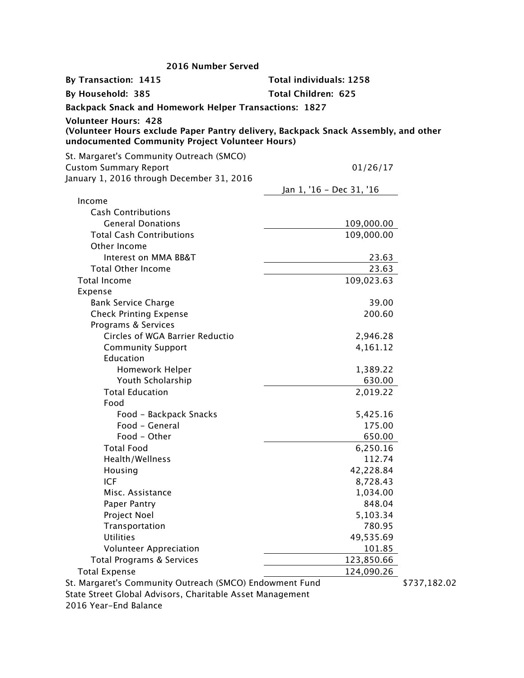| 2016 Number Served                                                                                                                                                   |                                |              |
|----------------------------------------------------------------------------------------------------------------------------------------------------------------------|--------------------------------|--------------|
| By Transaction: 1415                                                                                                                                                 | <b>Total individuals: 1258</b> |              |
| By Household: 385                                                                                                                                                    | <b>Total Children: 625</b>     |              |
| <b>Backpack Snack and Homework Helper Transactions: 1827</b>                                                                                                         |                                |              |
| <b>Volunteer Hours: 428</b><br>(Volunteer Hours exclude Paper Pantry delivery, Backpack Snack Assembly, and other<br>undocumented Community Project Volunteer Hours) |                                |              |
| St. Margaret's Community Outreach (SMCO)                                                                                                                             |                                |              |
| <b>Custom Summary Report</b>                                                                                                                                         | 01/26/17                       |              |
| January 1, 2016 through December 31, 2016                                                                                                                            |                                |              |
|                                                                                                                                                                      | Jan 1, '16 - Dec 31, '16       |              |
| Income                                                                                                                                                               |                                |              |
| <b>Cash Contributions</b>                                                                                                                                            |                                |              |
| <b>General Donations</b>                                                                                                                                             | 109,000.00                     |              |
| <b>Total Cash Contributions</b>                                                                                                                                      | 109,000.00                     |              |
| Other Income                                                                                                                                                         |                                |              |
| Interest on MMA BB&T                                                                                                                                                 | 23.63                          |              |
| <b>Total Other Income</b>                                                                                                                                            | 23.63                          |              |
| <b>Total Income</b>                                                                                                                                                  | 109,023.63                     |              |
| Expense                                                                                                                                                              |                                |              |
| <b>Bank Service Charge</b>                                                                                                                                           | 39.00                          |              |
| <b>Check Printing Expense</b>                                                                                                                                        | 200.60                         |              |
| Programs & Services                                                                                                                                                  |                                |              |
| Circles of WGA Barrier Reductio                                                                                                                                      | 2,946.28                       |              |
| <b>Community Support</b>                                                                                                                                             | 4,161.12                       |              |
| Education                                                                                                                                                            |                                |              |
| Homework Helper                                                                                                                                                      | 1,389.22                       |              |
| Youth Scholarship                                                                                                                                                    | 630.00                         |              |
| <b>Total Education</b>                                                                                                                                               | 2,019.22                       |              |
| Food                                                                                                                                                                 |                                |              |
| Food - Backpack Snacks<br>Food - General                                                                                                                             | 5,425.16                       |              |
| Food - Other                                                                                                                                                         | 175.00                         |              |
|                                                                                                                                                                      | 650.00                         |              |
| Total Food<br>Health/Wellness                                                                                                                                        | 6,250.16<br>112.74             |              |
| Housing                                                                                                                                                              | 42,228.84                      |              |
| ICF                                                                                                                                                                  | 8,728.43                       |              |
| Misc. Assistance                                                                                                                                                     | 1,034.00                       |              |
| Paper Pantry                                                                                                                                                         | 848.04                         |              |
| Project Noel                                                                                                                                                         | 5,103.34                       |              |
| Transportation                                                                                                                                                       | 780.95                         |              |
| <b>Utilities</b>                                                                                                                                                     | 49,535.69                      |              |
| <b>Volunteer Appreciation</b>                                                                                                                                        | 101.85                         |              |
| <b>Total Programs &amp; Services</b>                                                                                                                                 | 123,850.66                     |              |
| <b>Total Expense</b>                                                                                                                                                 | 124,090.26                     |              |
| St. Margaret's Community Outreach (SMCO) Endowment Fund                                                                                                              |                                | \$737,182.02 |
| State Street Global Advisors, Charitable Asset Management                                                                                                            |                                |              |

2016 Year-End Balance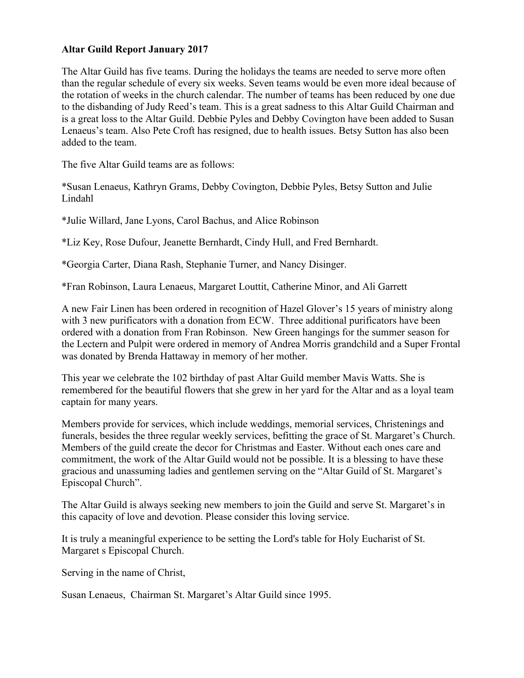# **Altar Guild Report January 2017**

The Altar Guild has five teams. During the holidays the teams are needed to serve more often than the regular schedule of every six weeks. Seven teams would be even more ideal because of the rotation of weeks in the church calendar. The number of teams has been reduced by one due to the disbanding of Judy Reed's team. This is a great sadness to this Altar Guild Chairman and is a great loss to the Altar Guild. Debbie Pyles and Debby Covington have been added to Susan Lenaeus's team. Also Pete Croft has resigned, due to health issues. Betsy Sutton has also been added to the team.

The five Altar Guild teams are as follows:

\*Susan Lenaeus, Kathryn Grams, Debby Covington, Debbie Pyles, Betsy Sutton and Julie Lindahl

\*Julie Willard, Jane Lyons, Carol Bachus, and Alice Robinson

\*Liz Key, Rose Dufour, Jeanette Bernhardt, Cindy Hull, and Fred Bernhardt.

\*Georgia Carter, Diana Rash, Stephanie Turner, and Nancy Disinger.

\*Fran Robinson, Laura Lenaeus, Margaret Louttit, Catherine Minor, and Ali Garrett

A new Fair Linen has been ordered in recognition of Hazel Glover's 15 years of ministry along with 3 new purificators with a donation from ECW. Three additional purificators have been ordered with a donation from Fran Robinson. New Green hangings for the summer season for the Lectern and Pulpit were ordered in memory of Andrea Morris grandchild and a Super Frontal was donated by Brenda Hattaway in memory of her mother.

This year we celebrate the 102 birthday of past Altar Guild member Mavis Watts. She is remembered for the beautiful flowers that she grew in her yard for the Altar and as a loyal team captain for many years.

Members provide for services, which include weddings, memorial services, Christenings and funerals, besides the three regular weekly services, befitting the grace of St. Margaret's Church. Members of the guild create the decor for Christmas and Easter. Without each ones care and commitment, the work of the Altar Guild would not be possible. It is a blessing to have these gracious and unassuming ladies and gentlemen serving on the "Altar Guild of St. Margaret's Episcopal Church".

The Altar Guild is always seeking new members to join the Guild and serve St. Margaret's in this capacity of love and devotion. Please consider this loving service.

It is truly a meaningful experience to be setting the Lord's table for Holy Eucharist of St. Margaret s Episcopal Church.

Serving in the name of Christ,

Susan Lenaeus, Chairman St. Margaret's Altar Guild since 1995.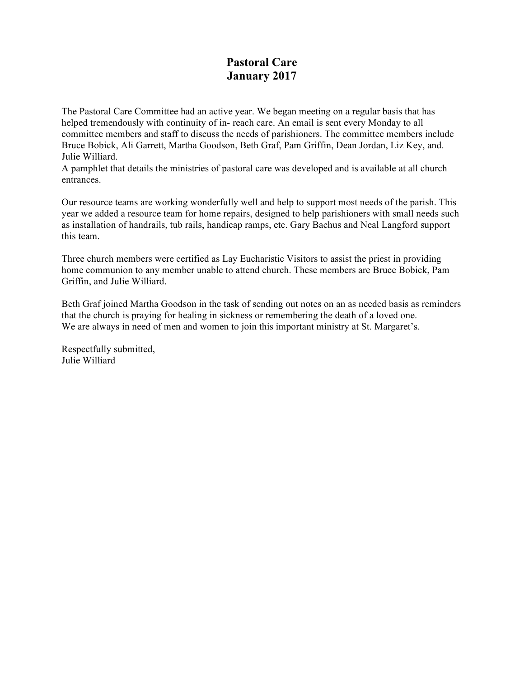# **Pastoral Care January 2017**

The Pastoral Care Committee had an active year. We began meeting on a regular basis that has helped tremendously with continuity of in- reach care. An email is sent every Monday to all committee members and staff to discuss the needs of parishioners. The committee members include Bruce Bobick, Ali Garrett, Martha Goodson, Beth Graf, Pam Griffin, Dean Jordan, Liz Key, and. Julie Williard.

A pamphlet that details the ministries of pastoral care was developed and is available at all church entrances.

Our resource teams are working wonderfully well and help to support most needs of the parish. This year we added a resource team for home repairs, designed to help parishioners with small needs such as installation of handrails, tub rails, handicap ramps, etc. Gary Bachus and Neal Langford support this team.

Three church members were certified as Lay Eucharistic Visitors to assist the priest in providing home communion to any member unable to attend church. These members are Bruce Bobick, Pam Griffin, and Julie Williard.

Beth Graf joined Martha Goodson in the task of sending out notes on an as needed basis as reminders that the church is praying for healing in sickness or remembering the death of a loved one. We are always in need of men and women to join this important ministry at St. Margaret's.

Respectfully submitted, Julie Williard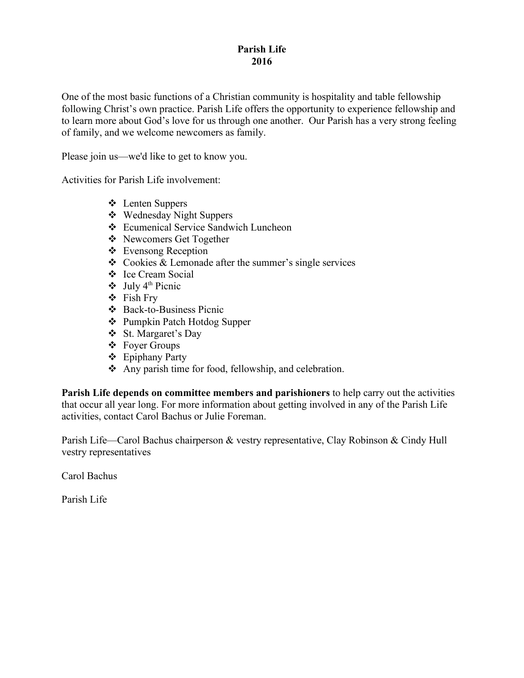# **Parish Life 2016**

One of the most basic functions of a Christian community is hospitality and table fellowship following Christ's own practice. Parish Life offers the opportunity to experience fellowship and to learn more about God's love for us through one another. Our Parish has a very strong feeling of family, and we welcome newcomers as family.

Please join us—we'd like to get to know you.

Activities for Parish Life involvement:

- ❖ Lenten Suppers
- v Wednesday Night Suppers
- v Ecumenical Service Sandwich Luncheon
- v Newcomers Get Together
- $\triangle$  Evensong Reception
- $\triangle$  Cookies & Lemonade after the summer's single services
- v Ice Cream Social
- $\div$  July 4<sup>th</sup> Picnic
- $\div$  Fish Fry
- v Back-to-Business Picnic
- v Pumpkin Patch Hotdog Supper
- v St. Margaret's Day
- $\div$  Foyer Groups
- $\div$  Epiphany Party
- $\triangle$  Any parish time for food, fellowship, and celebration.

**Parish Life depends on committee members and parishioners** to help carry out the activities that occur all year long. For more information about getting involved in any of the Parish Life activities, contact Carol Bachus or Julie Foreman.

Parish Life—Carol Bachus chairperson & vestry representative, Clay Robinson & Cindy Hull vestry representatives

Carol Bachus

Parish Life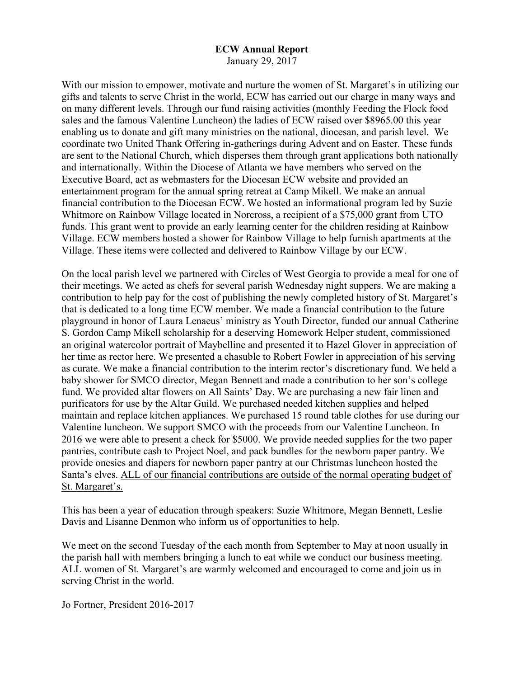#### **ECW Annual Report**

January 29, 2017

With our mission to empower, motivate and nurture the women of St. Margaret's in utilizing our gifts and talents to serve Christ in the world, ECW has carried out our charge in many ways and on many different levels. Through our fund raising activities (monthly Feeding the Flock food sales and the famous Valentine Luncheon) the ladies of ECW raised over \$8965.00 this year enabling us to donate and gift many ministries on the national, diocesan, and parish level. We coordinate two United Thank Offering in-gatherings during Advent and on Easter. These funds are sent to the National Church, which disperses them through grant applications both nationally and internationally. Within the Diocese of Atlanta we have members who served on the Executive Board, act as webmasters for the Diocesan ECW website and provided an entertainment program for the annual spring retreat at Camp Mikell. We make an annual financial contribution to the Diocesan ECW. We hosted an informational program led by Suzie Whitmore on Rainbow Village located in Norcross, a recipient of a \$75,000 grant from UTO funds. This grant went to provide an early learning center for the children residing at Rainbow Village. ECW members hosted a shower for Rainbow Village to help furnish apartments at the Village. These items were collected and delivered to Rainbow Village by our ECW.

On the local parish level we partnered with Circles of West Georgia to provide a meal for one of their meetings. We acted as chefs for several parish Wednesday night suppers. We are making a contribution to help pay for the cost of publishing the newly completed history of St. Margaret's that is dedicated to a long time ECW member. We made a financial contribution to the future playground in honor of Laura Lenaeus' ministry as Youth Director, funded our annual Catherine S. Gordon Camp Mikell scholarship for a deserving Homework Helper student, commissioned an original watercolor portrait of Maybelline and presented it to Hazel Glover in appreciation of her time as rector here. We presented a chasuble to Robert Fowler in appreciation of his serving as curate. We make a financial contribution to the interim rector's discretionary fund. We held a baby shower for SMCO director, Megan Bennett and made a contribution to her son's college fund. We provided altar flowers on All Saints' Day. We are purchasing a new fair linen and purificators for use by the Altar Guild. We purchased needed kitchen supplies and helped maintain and replace kitchen appliances. We purchased 15 round table clothes for use during our Valentine luncheon. We support SMCO with the proceeds from our Valentine Luncheon. In 2016 we were able to present a check for \$5000. We provide needed supplies for the two paper pantries, contribute cash to Project Noel, and pack bundles for the newborn paper pantry. We provide onesies and diapers for newborn paper pantry at our Christmas luncheon hosted the Santa's elves. ALL of our financial contributions are outside of the normal operating budget of St. Margaret's.

This has been a year of education through speakers: Suzie Whitmore, Megan Bennett, Leslie Davis and Lisanne Denmon who inform us of opportunities to help.

We meet on the second Tuesday of the each month from September to May at noon usually in the parish hall with members bringing a lunch to eat while we conduct our business meeting. ALL women of St. Margaret's are warmly welcomed and encouraged to come and join us in serving Christ in the world.

Jo Fortner, President 2016-2017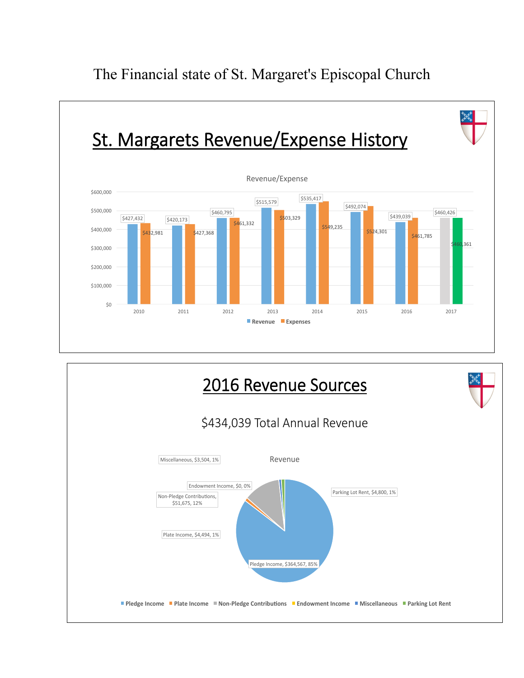



The Financial state of St. Margaret's Episcopal Church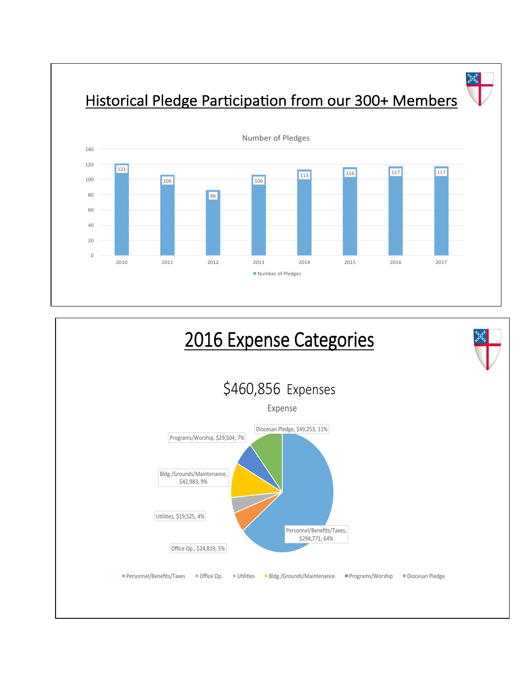丼